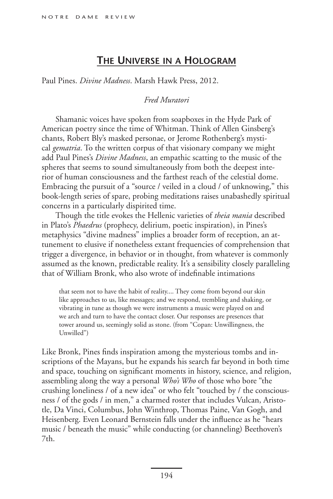## **The Universe in a Hologram**

Paul Pines. *Divine Madness*. Marsh Hawk Press, 2012.

## *Fred Muratori*

Shamanic voices have spoken from soapboxes in the Hyde Park of American poetry since the time of Whitman. Think of Allen Ginsberg's chants, Robert Bly's masked personae, or Jerome Rothenberg's mystical *gematria*. To the written corpus of that visionary company we might add Paul Pines's *Divine Madness*, an empathic scatting to the music of the spheres that seems to sound simultaneously from both the deepest interior of human consciousness and the farthest reach of the celestial dome. Embracing the pursuit of a "source / veiled in a cloud / of unknowing," this book-length series of spare, probing meditations raises unabashedly spiritual concerns in a particularly dispirited time.

Though the title evokes the Hellenic varieties of *theia mania* described in Plato's *Phaedrus* (prophecy, delirium, poetic inspiration), in Pines's metaphysics "divine madness" implies a broader form of reception, an attunement to elusive if nonetheless extant frequencies of comprehension that trigger a divergence, in behavior or in thought, from whatever is commonly assumed as the known, predictable reality. It's a sensibility closely paralleling that of William Bronk, who also wrote of indefinable intimations

that seem not to have the habit of reality.... They come from beyond our skin like approaches to us, like messages; and we respond, trembling and shaking, or vibrating in tune as though we were instruments a music were played on and we arch and turn to have the contact closer. Our responses are presences that tower around us, seemingly solid as stone. (from "Copan: Unwillingness, the Unwilled")

Like Bronk, Pines finds inspiration among the mysterious tombs and inscriptions of the Mayans, but he expands his search far beyond in both time and space, touching on significant moments in history, science, and religion, assembling along the way a personal *Who's Who* of those who bore "the crushing loneliness / of a new idea" or who felt "touched by / the consciousness / of the gods / in men," a charmed roster that includes Vulcan, Aristotle, Da Vinci, Columbus, John Winthrop, Thomas Paine, Van Gogh, and Heisenberg. Even Leonard Bernstein falls under the influence as he "hears music / beneath the music" while conducting (or channeling) Beethoven's 7th.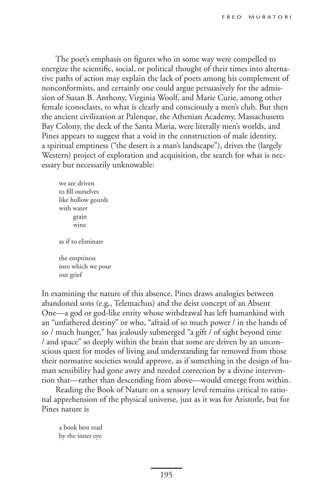The poet's emphasis on figures who in some way were compelled to energize the scientific, social, or political thought of their times into alternative paths of action may explain the lack of poets among his complement of nonconformists, and certainly one could argue persuasively for the admission of Susan B. Anthony, Virginia Woolf, and Marie Curie, among other female iconoclasts, to what is clearly and consciously a men's club. But then the ancient civilization at Palenque, the Athenian Academy, Massachusetts Bay Colony, the deck of the Santa Maria, were literally men's worlds, and Pines appears to suggest that a void in the construction of male identity, a spiritual emptiness ("the desert is a man's landscape"), drives the (largely Western) project of exploration and acquisition, the search for what is necessary but necessarily unknowable:

we are driven to fill ourselves like hollow gourds with water grain wine as if to eliminate the emptiness into which we pour our grief

In examining the nature of this absence, Pines draws analogies between abandoned sons (e.g., Telemachus) and the deist concept of an Absent One—a god or god-like entity whose withdrawal has left humankind with an "unfathered destiny" or who, "afraid of so much power / in the hands of so / much hunger," has jealously submerged "a gift / of sight beyond time / and space" so deeply within the brain that some are driven by an unconscious quest for modes of living and understanding far removed from those their normative societies would approve, as if something in the design of human sensibility had gone awry and needed correction by a divine intervention that—rather than descending from above—would emerge from within.

Reading the Book of Nature on a sensory level remains critical to rational apprehension of the physical universe, just as it was for Aristotle, but for Pines nature is

a book best read by the inner eye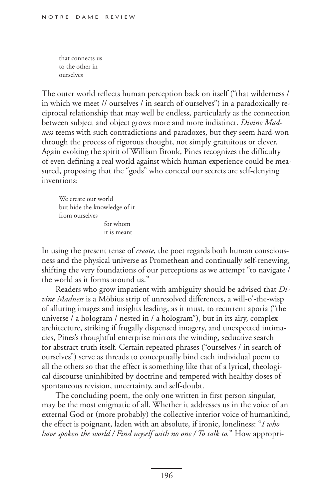that connects us to the other in ourselves

The outer world reflects human perception back on itself ("that wilderness / in which we meet // ourselves / in search of ourselves") in a paradoxically reciprocal relationship that may well be endless, particularly as the connection between subject and object grows more and more indistinct. *Divine Madness* teems with such contradictions and paradoxes, but they seem hard-won through the process of rigorous thought, not simply gratuitous or clever. Again evoking the spirit of William Bronk, Pines recognizes the difficulty of even defining a real world against which human experience could be measured, proposing that the "gods" who conceal our secrets are self-denying inventions:

We create our world but hide the knowledge of it from ourselves for whom it is meant

In using the present tense of *create*, the poet regards both human consciousness and the physical universe as Promethean and continually self-renewing, shifting the very foundations of our perceptions as we attempt "to navigate / the world as it forms around us."

Readers who grow impatient with ambiguity should be advised that *Divine Madness* is a Möbius strip of unresolved differences, a will-o'-the-wisp of alluring images and insights leading, as it must, to recurrent aporia ("the universe / a hologram / nested in / a hologram"), but in its airy, complex architecture, striking if frugally dispensed imagery, and unexpected intimacies, Pines's thoughtful enterprise mirrors the winding, seductive search for abstract truth itself. Certain repeated phrases ("ourselves / in search of ourselves") serve as threads to conceptually bind each individual poem to all the others so that the effect is something like that of a lyrical, theological discourse uninhibited by doctrine and tempered with healthy doses of spontaneous revision, uncertainty, and self-doubt.

The concluding poem, the only one written in first person singular, may be the most enigmatic of all. Whether it addresses us in the voice of an external God or (more probably) the collective interior voice of humankind, the effect is poignant, laden with an absolute, if ironic, loneliness: "*I who have spoken the world / Find myself with no one / To talk to.*" How appropri